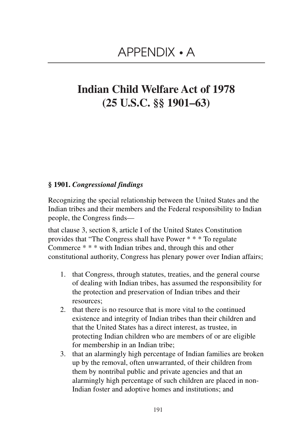# APPENDIX • A

## **Indian Child Welfare Act of 1978 (25 U.S.C. §§ 1901–63)**

#### **§ 1901.** *Congressional findings*

Recognizing the special relationship between the United States and the Indian tribes and their members and the Federal responsibility to Indian people, the Congress finds—

that clause 3, section 8, article I of the United States Constitution provides that "The Congress shall have Power \* \* \* To regulate Commerce \* \* \* with Indian tribes and, through this and other constitutional authority, Congress has plenary power over Indian affairs;

- 1. that Congress, through statutes, treaties, and the general course of dealing with Indian tribes, has assumed the responsibility for the protection and preservation of Indian tribes and their resources;
- 2. that there is no resource that is more vital to the continued existence and integrity of Indian tribes than their children and that the United States has a direct interest, as trustee, in protecting Indian children who are members of or are eligible for membership in an Indian tribe;
- 3. that an alarmingly high percentage of Indian families are broken up by the removal, often unwarranted, of their children from them by nontribal public and private agencies and that an alarmingly high percentage of such children are placed in non-Indian foster and adoptive homes and institutions; and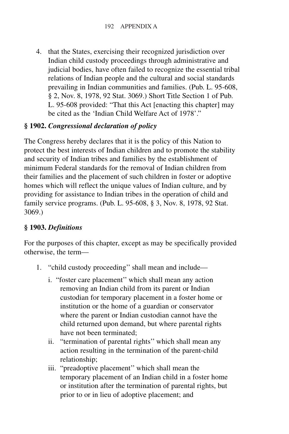4. that the States, exercising their recognized jurisdiction over Indian child custody proceedings through administrative and judicial bodies, have often failed to recognize the essential tribal relations of Indian people and the cultural and social standards prevailing in Indian communities and families. (Pub. L. 95-608, § 2, Nov. 8, 1978, 92 Stat. 3069.) Short Title Section 1 of Pub. L. 95-608 provided: "That this Act [enacting this chapter] may be cited as the 'Indian Child Welfare Act of 1978'."

## **§ 1902.** *Congressional declaration of policy*

The Congress hereby declares that it is the policy of this Nation to protect the best interests of Indian children and to promote the stability and security of Indian tribes and families by the establishment of minimum Federal standards for the removal of Indian children from their families and the placement of such children in foster or adoptive homes which will reflect the unique values of Indian culture, and by providing for assistance to Indian tribes in the operation of child and family service programs. (Pub. L. 95-608, § 3, Nov. 8, 1978, 92 Stat. 3069.)

## **§ 1903.** *Definitions*

For the purposes of this chapter, except as may be specifically provided otherwise, the term—

- 1. "child custody proceeding'' shall mean and include
	- i. "foster care placement'' which shall mean any action removing an Indian child from its parent or Indian custodian for temporary placement in a foster home or institution or the home of a guardian or conservator where the parent or Indian custodian cannot have the child returned upon demand, but where parental rights have not been terminated;
	- ii. "termination of parental rights'' which shall mean any action resulting in the termination of the parent-child relationship;
	- iii. "preadoptive placement'' which shall mean the temporary placement of an Indian child in a foster home or institution after the termination of parental rights, but prior to or in lieu of adoptive placement; and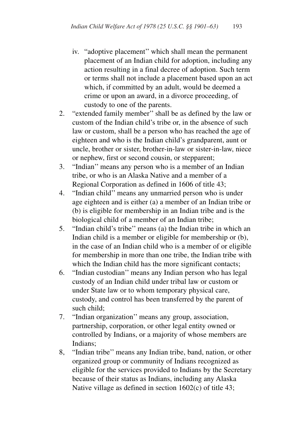- iv. "adoptive placement'' which shall mean the permanent placement of an Indian child for adoption, including any action resulting in a final decree of adoption. Such term or terms shall not include a placement based upon an act which, if committed by an adult, would be deemed a crime or upon an award, in a divorce proceeding, of custody to one of the parents.
- 2. "extended family member'' shall be as defined by the law or custom of the Indian child's tribe or, in the absence of such law or custom, shall be a person who has reached the age of eighteen and who is the Indian child's grandparent, aunt or uncle, brother or sister, brother-in-law or sister-in-law, niece or nephew, first or second cousin, or stepparent;
- 3. "Indian'' means any person who is a member of an Indian tribe, or who is an Alaska Native and a member of a Regional Corporation as defined in 1606 of title 43;
- 4. "Indian child'' means any unmarried person who is under age eighteen and is either (a) a member of an Indian tribe or (b) is eligible for membership in an Indian tribe and is the biological child of a member of an Indian tribe;
- 5. "Indian child's tribe'' means (a) the Indian tribe in which an Indian child is a member or eligible for membership or (b), in the case of an Indian child who is a member of or eligible for membership in more than one tribe, the Indian tribe with which the Indian child has the more significant contacts;
- 6. "Indian custodian'' means any Indian person who has legal custody of an Indian child under tribal law or custom or under State law or to whom temporary physical care, custody, and control has been transferred by the parent of such child;
- 7. "Indian organization'' means any group, association, partnership, corporation, or other legal entity owned or controlled by Indians, or a majority of whose members are Indians;
- 8, "Indian tribe'' means any Indian tribe, band, nation, or other organized group or community of Indians recognized as eligible for the services provided to Indians by the Secretary because of their status as Indians, including any Alaska Native village as defined in section 1602(c) of title 43;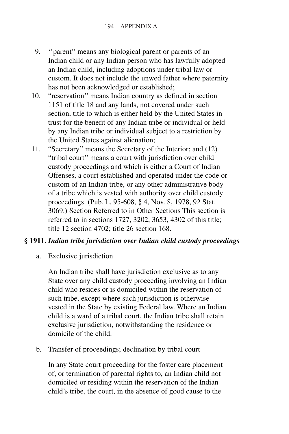- 9. ''parent'' means any biological parent or parents of an Indian child or any Indian person who has lawfully adopted an Indian child, including adoptions under tribal law or custom. It does not include the unwed father where paternity has not been acknowledged or established;
- 10. "reservation'' means Indian country as defined in section 1151 of title 18 and any lands, not covered under such section, title to which is either held by the United States in trust for the benefit of any Indian tribe or individual or held by any Indian tribe or individual subject to a restriction by the United States against alienation;
- 11. "Secretary'' means the Secretary of the Interior; and (12) "tribal court'' means a court with jurisdiction over child custody proceedings and which is either a Court of Indian Offenses, a court established and operated under the code or custom of an Indian tribe, or any other administrative body of a tribe which is vested with authority over child custody proceedings. (Pub. L. 95-608, § 4, Nov. 8, 1978, 92 Stat. 3069.) Section Referred to in Other Sections This section is referred to in sections 1727, 3202, 3653, 4302 of this title; title 12 section 4702; title 26 section 168.

## **§ 1911.** *Indian tribe jurisdiction over Indian child custody proceedings*

a. Exclusive jurisdiction

An Indian tribe shall have jurisdiction exclusive as to any State over any child custody proceeding involving an Indian child who resides or is domiciled within the reservation of such tribe, except where such jurisdiction is otherwise vested in the State by existing Federal law. Where an Indian child is a ward of a tribal court, the Indian tribe shall retain exclusive jurisdiction, notwithstanding the residence or domicile of the child.

b. Transfer of proceedings; declination by tribal court

In any State court proceeding for the foster care placement of, or termination of parental rights to, an Indian child not domiciled or residing within the reservation of the Indian child's tribe, the court, in the absence of good cause to the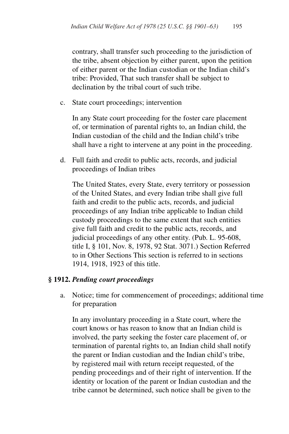contrary, shall transfer such proceeding to the jurisdiction of the tribe, absent objection by either parent, upon the petition of either parent or the Indian custodian or the Indian child's tribe: Provided, That such transfer shall be subject to declination by the tribal court of such tribe.

c. State court proceedings; intervention

In any State court proceeding for the foster care placement of, or termination of parental rights to, an Indian child, the Indian custodian of the child and the Indian child's tribe shall have a right to intervene at any point in the proceeding.

d. Full faith and credit to public acts, records, and judicial proceedings of Indian tribes

The United States, every State, every territory or possession of the United States, and every Indian tribe shall give full faith and credit to the public acts, records, and judicial proceedings of any Indian tribe applicable to Indian child custody proceedings to the same extent that such entities give full faith and credit to the public acts, records, and judicial proceedings of any other entity. (Pub. L. 95-608, title I, § 101, Nov. 8, 1978, 92 Stat. 3071.) Section Referred to in Other Sections This section is referred to in sections 1914, 1918, 1923 of this title.

## **§ 1912.** *Pending court proceedings*

a. Notice; time for commencement of proceedings; additional time for preparation

In any involuntary proceeding in a State court, where the court knows or has reason to know that an Indian child is involved, the party seeking the foster care placement of, or termination of parental rights to, an Indian child shall notify the parent or Indian custodian and the Indian child's tribe, by registered mail with return receipt requested, of the pending proceedings and of their right of intervention. If the identity or location of the parent or Indian custodian and the tribe cannot be determined, such notice shall be given to the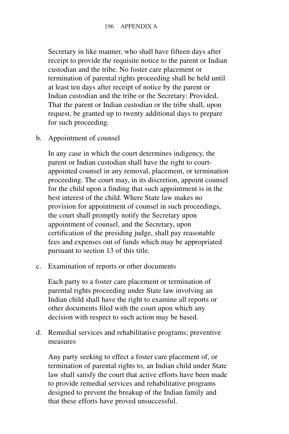Secretary in like manner, who shall have fifteen days after receipt to provide the requisite notice to the parent or Indian custodian and the tribe. No foster care placement or termination of parental rights proceeding shall be held until at least ten days after receipt of notice by the parent or Indian custodian and the tribe or the Secretary: Provided, That the parent or Indian custodian or the tribe shall, upon request, be granted up to twenty additional days to prepare for such proceeding.

b. Appointment of counsel

In any case in which the court determines indigency, the parent or Indian custodian shall have the right to courtappointed counsel in any removal, placement, or termination proceeding. The court may, in its discretion, appoint counsel for the child upon a finding that such appointment is in the best interest of the child. Where State law makes no provision for appointment of counsel in such proceedings, the court shall promptly notify the Secretary upon appointment of counsel, and the Secretary, upon certification of the presiding judge, shall pay reasonable fees and expenses out of funds which may be appropriated pursuant to section 13 of this title.

c. Examination of reports or other documents

Each party to a foster care placement or termination of parental rights proceeding under State law involving an Indian child shall have the right to examine all reports or other documents filed with the court upon which any decision with respect to such action may be based.

d. Remedial services and rehabilitative programs; preventive measures

Any party seeking to effect a foster care placement of, or termination of parental rights to, an Indian child under State law shall satisfy the court that active efforts have been made to provide remedial services and rehabilitative programs designed to prevent the breakup of the Indian family and that these efforts have proved unsuccessful.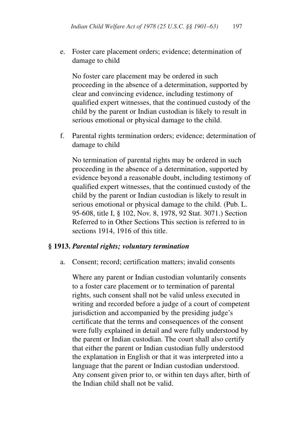e. Foster care placement orders; evidence; determination of damage to child

No foster care placement may be ordered in such proceeding in the absence of a determination, supported by clear and convincing evidence, including testimony of qualified expert witnesses, that the continued custody of the child by the parent or Indian custodian is likely to result in serious emotional or physical damage to the child.

f. Parental rights termination orders; evidence; determination of damage to child

No termination of parental rights may be ordered in such proceeding in the absence of a determination, supported by evidence beyond a reasonable doubt, including testimony of qualified expert witnesses, that the continued custody of the child by the parent or Indian custodian is likely to result in serious emotional or physical damage to the child. (Pub. L. 95-608, title I, § 102, Nov. 8, 1978, 92 Stat. 3071.) Section Referred to in Other Sections This section is referred to in sections 1914, 1916 of this title.

#### **§ 1913.** *Parental rights; voluntary termination*

a. Consent; record; certification matters; invalid consents

Where any parent or Indian custodian voluntarily consents to a foster care placement or to termination of parental rights, such consent shall not be valid unless executed in writing and recorded before a judge of a court of competent jurisdiction and accompanied by the presiding judge's certificate that the terms and consequences of the consent were fully explained in detail and were fully understood by the parent or Indian custodian. The court shall also certify that either the parent or Indian custodian fully understood the explanation in English or that it was interpreted into a language that the parent or Indian custodian understood. Any consent given prior to, or within ten days after, birth of the Indian child shall not be valid.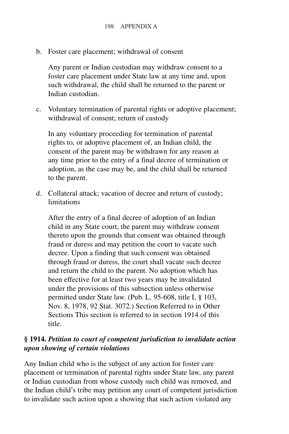b. Foster care placement; withdrawal of consent

Any parent or Indian custodian may withdraw consent to a foster care placement under State law at any time and, upon such withdrawal, the child shall be returned to the parent or Indian custodian.

c. Voluntary termination of parental rights or adoptive placement; withdrawal of consent; return of custody

In any voluntary proceeding for termination of parental rights to, or adoptive placement of, an Indian child, the consent of the parent may be withdrawn for any reason at any time prior to the entry of a final decree of termination or adoption, as the case may be, and the child shall be returned to the parent.

d. Collateral attack; vacation of decree and return of custody; limitations

After the entry of a final decree of adoption of an Indian child in any State court, the parent may withdraw consent thereto upon the grounds that consent was obtained through fraud or duress and may petition the court to vacate such decree. Upon a finding that such consent was obtained through fraud or duress, the court shall vacate such decree and return the child to the parent. No adoption which has been effective for at least two years may be invalidated under the provisions of this subsection unless otherwise permitted under State law. (Pub. L. 95-608, title I, § 103, Nov. 8, 1978, 92 Stat. 3072.) Section Referred to in Other Sections This section is referred to in section 1914 of this title.

## **§ 1914.** *Petition to court of competent jurisdiction to invalidate action upon showing of certain violations*

Any Indian child who is the subject of any action for foster care placement or termination of parental rights under State law, any parent or Indian custodian from whose custody such child was removed, and the Indian child's tribe may petition any court of competent jurisdiction to invalidate such action upon a showing that such action violated any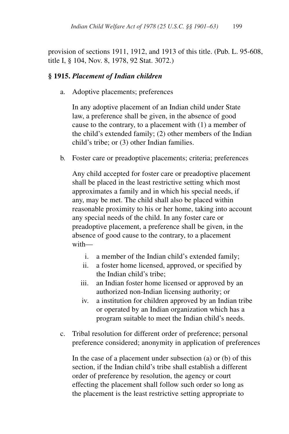provision of sections 1911, 1912, and 1913 of this title. (Pub. L. 95-608, title I, § 104, Nov. 8, 1978, 92 Stat. 3072.)

#### **§ 1915.** *Placement of Indian children*

a. Adoptive placements; preferences

In any adoptive placement of an Indian child under State law, a preference shall be given, in the absence of good cause to the contrary, to a placement with (1) a member of the child's extended family; (2) other members of the Indian child's tribe; or (3) other Indian families.

b. Foster care or preadoptive placements; criteria; preferences

Any child accepted for foster care or preadoptive placement shall be placed in the least restrictive setting which most approximates a family and in which his special needs, if any, may be met. The child shall also be placed within reasonable proximity to his or her home, taking into account any special needs of the child. In any foster care or preadoptive placement, a preference shall be given, in the absence of good cause to the contrary, to a placement with—

- i. a member of the Indian child's extended family;
- ii. a foster home licensed, approved, or specified by the Indian child's tribe;
- iii. an Indian foster home licensed or approved by an authorized non-Indian licensing authority; or
- iv. a institution for children approved by an Indian tribe or operated by an Indian organization which has a program suitable to meet the Indian child's needs.
- c. Tribal resolution for different order of preference; personal preference considered; anonymity in application of preferences

In the case of a placement under subsection (a) or (b) of this section, if the Indian child's tribe shall establish a different order of preference by resolution, the agency or court effecting the placement shall follow such order so long as the placement is the least restrictive setting appropriate to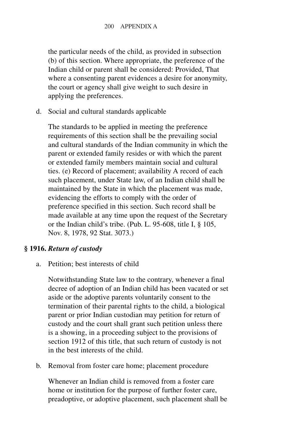the particular needs of the child, as provided in subsection (b) of this section. Where appropriate, the preference of the Indian child or parent shall be considered: Provided, That where a consenting parent evidences a desire for anonymity, the court or agency shall give weight to such desire in applying the preferences.

d. Social and cultural standards applicable

The standards to be applied in meeting the preference requirements of this section shall be the prevailing social and cultural standards of the Indian community in which the parent or extended family resides or with which the parent or extended family members maintain social and cultural ties. (e) Record of placement; availability A record of each such placement, under State law, of an Indian child shall be maintained by the State in which the placement was made, evidencing the efforts to comply with the order of preference specified in this section. Such record shall be made available at any time upon the request of the Secretary or the Indian child's tribe. (Pub. L. 95-608, title I, § 105, Nov. 8, 1978, 92 Stat. 3073.)

#### **§ 1916.** *Return of custody*

a. Petition; best interests of child

Notwithstanding State law to the contrary, whenever a final decree of adoption of an Indian child has been vacated or set aside or the adoptive parents voluntarily consent to the termination of their parental rights to the child, a biological parent or prior Indian custodian may petition for return of custody and the court shall grant such petition unless there is a showing, in a proceeding subject to the provisions of section 1912 of this title, that such return of custody is not in the best interests of the child.

b. Removal from foster care home; placement procedure

Whenever an Indian child is removed from a foster care home or institution for the purpose of further foster care, preadoptive, or adoptive placement, such placement shall be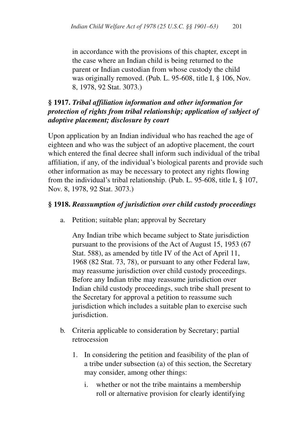in accordance with the provisions of this chapter, except in the case where an Indian child is being returned to the parent or Indian custodian from whose custody the child was originally removed. (Pub. L. 95-608, title I, § 106, Nov. 8, 1978, 92 Stat. 3073.)

## **§ 1917.** *Tribal affiliation information and other information for protection of rights from tribal relationship; application of subject of adoptive placement; disclosure by court*

Upon application by an Indian individual who has reached the age of eighteen and who was the subject of an adoptive placement, the court which entered the final decree shall inform such individual of the tribal affiliation, if any, of the individual's biological parents and provide such other information as may be necessary to protect any rights flowing from the individual's tribal relationship. (Pub. L. 95-608, title I, § 107, Nov. 8, 1978, 92 Stat. 3073.)

## **§ 1918.** *Reassumption of jurisdiction over child custody proceedings*

a. Petition; suitable plan; approval by Secretary

Any Indian tribe which became subject to State jurisdiction pursuant to the provisions of the Act of August 15, 1953 (67 Stat. 588), as amended by title IV of the Act of April 11, 1968 (82 Stat. 73, 78), or pursuant to any other Federal law, may reassume jurisdiction over child custody proceedings. Before any Indian tribe may reassume jurisdiction over Indian child custody proceedings, such tribe shall present to the Secretary for approval a petition to reassume such jurisdiction which includes a suitable plan to exercise such jurisdiction.

- b. Criteria applicable to consideration by Secretary; partial retrocession
	- 1. In considering the petition and feasibility of the plan of a tribe under subsection (a) of this section, the Secretary may consider, among other things:
		- i. whether or not the tribe maintains a membership roll or alternative provision for clearly identifying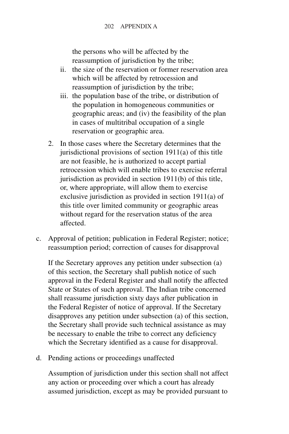the persons who will be affected by the reassumption of jurisdiction by the tribe;

- ii. the size of the reservation or former reservation area which will be affected by retrocession and reassumption of jurisdiction by the tribe;
- iii. the population base of the tribe, or distribution of the population in homogeneous communities or geographic areas; and (iv) the feasibility of the plan in cases of multitribal occupation of a single reservation or geographic area.
- 2. In those cases where the Secretary determines that the jurisdictional provisions of section  $1911(a)$  of this title are not feasible, he is authorized to accept partial retrocession which will enable tribes to exercise referral jurisdiction as provided in section 1911(b) of this title, or, where appropriate, will allow them to exercise exclusive jurisdiction as provided in section 1911(a) of this title over limited community or geographic areas without regard for the reservation status of the area affected.
- c. Approval of petition; publication in Federal Register; notice; reassumption period; correction of causes for disapproval

If the Secretary approves any petition under subsection (a) of this section, the Secretary shall publish notice of such approval in the Federal Register and shall notify the affected State or States of such approval. The Indian tribe concerned shall reassume jurisdiction sixty days after publication in the Federal Register of notice of approval. If the Secretary disapproves any petition under subsection (a) of this section, the Secretary shall provide such technical assistance as may be necessary to enable the tribe to correct any deficiency which the Secretary identified as a cause for disapproval.

d. Pending actions or proceedings unaffected

Assumption of jurisdiction under this section shall not affect any action or proceeding over which a court has already assumed jurisdiction, except as may be provided pursuant to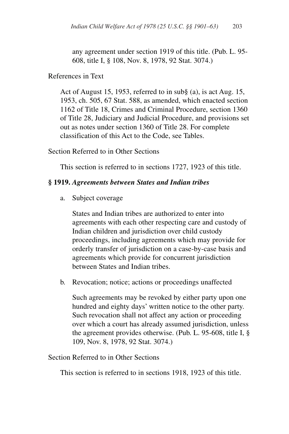any agreement under section 1919 of this title. (Pub. L. 95- 608, title I, § 108, Nov. 8, 1978, 92 Stat. 3074.)

#### References in Text

Act of August 15, 1953, referred to in sub§ (a), is act Aug. 15, 1953, ch. 505, 67 Stat. 588, as amended, which enacted section 1162 of Title 18, Crimes and Criminal Procedure, section 1360 of Title 28, Judiciary and Judicial Procedure, and provisions set out as notes under section 1360 of Title 28. For complete classification of this Act to the Code, see Tables.

Section Referred to in Other Sections

This section is referred to in sections 1727, 1923 of this title.

#### **§ 1919.** *Agreements between States and Indian tribes*

a. Subject coverage

States and Indian tribes are authorized to enter into agreements with each other respecting care and custody of Indian children and jurisdiction over child custody proceedings, including agreements which may provide for orderly transfer of jurisdiction on a case-by-case basis and agreements which provide for concurrent jurisdiction between States and Indian tribes.

b. Revocation; notice; actions or proceedings unaffected

Such agreements may be revoked by either party upon one hundred and eighty days' written notice to the other party. Such revocation shall not affect any action or proceeding over which a court has already assumed jurisdiction, unless the agreement provides otherwise. (Pub. L. 95-608, title I, § 109, Nov. 8, 1978, 92 Stat. 3074.)

Section Referred to in Other Sections

This section is referred to in sections 1918, 1923 of this title.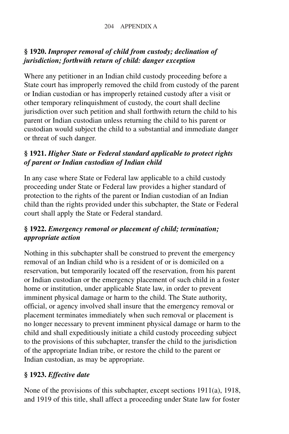#### 204 APPENDIX A

## **§ 1920.** *Improper removal of child from custody; declination of jurisdiction; forthwith return of child: danger exception*

Where any petitioner in an Indian child custody proceeding before a State court has improperly removed the child from custody of the parent or Indian custodian or has improperly retained custody after a visit or other temporary relinquishment of custody, the court shall decline jurisdiction over such petition and shall forthwith return the child to his parent or Indian custodian unless returning the child to his parent or custodian would subject the child to a substantial and immediate danger or threat of such danger.

## **§ 1921.** *Higher State or Federal standard applicable to protect rights of parent or Indian custodian of Indian child*

In any case where State or Federal law applicable to a child custody proceeding under State or Federal law provides a higher standard of protection to the rights of the parent or Indian custodian of an Indian child than the rights provided under this subchapter, the State or Federal court shall apply the State or Federal standard.

## **§ 1922.** *Emergency removal or placement of child; termination; appropriate action*

Nothing in this subchapter shall be construed to prevent the emergency removal of an Indian child who is a resident of or is domiciled on a reservation, but temporarily located off the reservation, from his parent or Indian custodian or the emergency placement of such child in a foster home or institution, under applicable State law, in order to prevent imminent physical damage or harm to the child. The State authority, official, or agency involved shall insure that the emergency removal or placement terminates immediately when such removal or placement is no longer necessary to prevent imminent physical damage or harm to the child and shall expeditiously initiate a child custody proceeding subject to the provisions of this subchapter, transfer the child to the jurisdiction of the appropriate Indian tribe, or restore the child to the parent or Indian custodian, as may be appropriate.

## **§ 1923.** *Effective date*

None of the provisions of this subchapter, except sections 1911(a), 1918, and 1919 of this title, shall affect a proceeding under State law for foster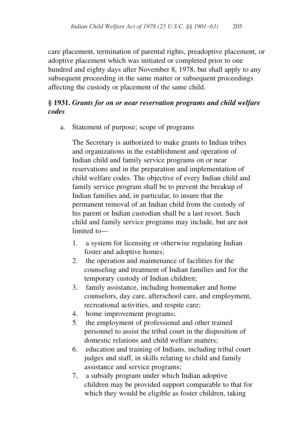care placement, termination of parental rights, preadoptive placement, or adoptive placement which was initiated or completed prior to one hundred and eighty days after November 8, 1978, but shall apply to any subsequent proceeding in the same matter or subsequent proceedings affecting the custody or placement of the same child.

## **§ 1931.** *Grants for on or near reservation programs and child welfare codes*

a. Statement of purpose; scope of programs

The Secretary is authorized to make grants to Indian tribes and organizations in the establishment and operation of Indian child and family service programs on or near reservations and in the preparation and implementation of child welfare codes. The objective of every Indian child and family service program shall be to prevent the breakup of Indian families and, in particular, to insure that the permanent removal of an Indian child from the custody of his parent or Indian custodian shall be a last resort. Such child and family service programs may include, but are not limited to—

- 1. a system for licensing or otherwise regulating Indian foster and adoptive homes;
- 2. the operation and maintenance of facilities for the counseling and treatment of Indian families and for the temporary custody of Indian children;
- 3. family assistance, including homemaker and home counselors, day care, afterschool care, and employment, recreational activities, and respite care;
- 4. home improvement programs;
- 5. the employment of professional and other trained personnel to assist the tribal court in the disposition of domestic relations and child welfare matters;
- 6. education and training of Indians, including tribal court judges and staff, in skills relating to child and family assistance and service programs;
- 7, a subsidy program under which Indian adoptive children may be provided support comparable to that for which they would be eligible as foster children, taking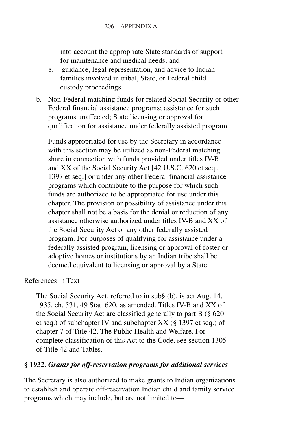into account the appropriate State standards of support for maintenance and medical needs; and

- 8. guidance, legal representation, and advice to Indian families involved in tribal, State, or Federal child custody proceedings.
- b. Non-Federal matching funds for related Social Security or other Federal financial assistance programs; assistance for such programs unaffected; State licensing or approval for qualification for assistance under federally assisted program

Funds appropriated for use by the Secretary in accordance with this section may be utilized as non-Federal matching share in connection with funds provided under titles IV-B and XX of the Social Security Act [42 U.S.C. 620 et seq., 1397 et seq.] or under any other Federal financial assistance programs which contribute to the purpose for which such funds are authorized to be appropriated for use under this chapter. The provision or possibility of assistance under this chapter shall not be a basis for the denial or reduction of any assistance otherwise authorized under titles IV-B and XX of the Social Security Act or any other federally assisted program. For purposes of qualifying for assistance under a federally assisted program, licensing or approval of foster or adoptive homes or institutions by an Indian tribe shall be deemed equivalent to licensing or approval by a State.

## References in Text

The Social Security Act, referred to in sub§ (b), is act Aug. 14, 1935, ch. 531, 49 Stat. 620, as amended. Titles IV-B and XX of the Social Security Act are classified generally to part B (§ 620 et seq.) of subchapter IV and subchapter XX (§ 1397 et seq.) of chapter 7 of Title 42, The Public Health and Welfare. For complete classification of this Act to the Code, see section 1305 of Title 42 and Tables.

## **§ 1932.** *Grants for off-reservation programs for additional services*

The Secretary is also authorized to make grants to Indian organizations to establish and operate off-reservation Indian child and family service programs which may include, but are not limited to—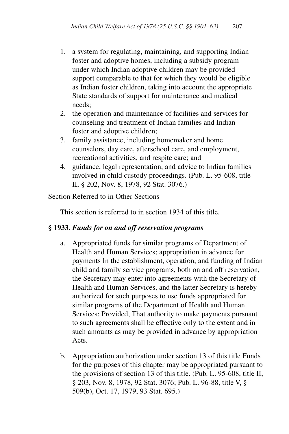- 1. a system for regulating, maintaining, and supporting Indian foster and adoptive homes, including a subsidy program under which Indian adoptive children may be provided support comparable to that for which they would be eligible as Indian foster children, taking into account the appropriate State standards of support for maintenance and medical needs;
- 2. the operation and maintenance of facilities and services for counseling and treatment of Indian families and Indian foster and adoptive children;
- 3. family assistance, including homemaker and home counselors, day care, afterschool care, and employment, recreational activities, and respite care; and
- 4. guidance, legal representation, and advice to Indian families involved in child custody proceedings. (Pub. L. 95-608, title II, § 202, Nov. 8, 1978, 92 Stat. 3076.)

Section Referred to in Other Sections

This section is referred to in section 1934 of this title.

## **§ 1933.** *Funds for on and off reservation programs*

- a. Appropriated funds for similar programs of Department of Health and Human Services; appropriation in advance for payments In the establishment, operation, and funding of Indian child and family service programs, both on and off reservation, the Secretary may enter into agreements with the Secretary of Health and Human Services, and the latter Secretary is hereby authorized for such purposes to use funds appropriated for similar programs of the Department of Health and Human Services: Provided, That authority to make payments pursuant to such agreements shall be effective only to the extent and in such amounts as may be provided in advance by appropriation Acts.
- b. Appropriation authorization under section 13 of this title Funds for the purposes of this chapter may be appropriated pursuant to the provisions of section 13 of this title. (Pub. L. 95-608, title II, § 203, Nov. 8, 1978, 92 Stat. 3076; Pub. L. 96-88, title V, § 509(b), Oct. 17, 1979, 93 Stat. 695.)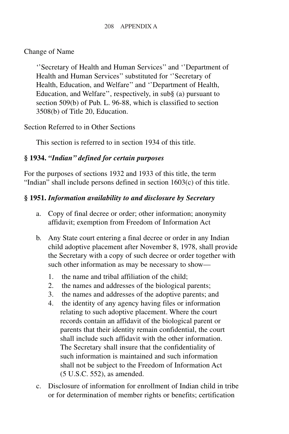## Change of Name

''Secretary of Health and Human Services'' and ''Department of Health and Human Services'' substituted for ''Secretary of Health, Education, and Welfare'' and ''Department of Health, Education, and Welfare'', respectively, in sub§ (a) pursuant to section 509(b) of Pub. L. 96-88, which is classified to section 3508(b) of Title 20, Education.

Section Referred to in Other Sections

This section is referred to in section 1934 of this title.

## **§ 1934.** *"Indian'' defined for certain purposes*

For the purposes of sections 1932 and 1933 of this title, the term "Indian" shall include persons defined in section 1603(c) of this title.

## **§ 1951.** *Information availability to and disclosure by Secretary*

- a. Copy of final decree or order; other information; anonymity affidavit; exemption from Freedom of Information Act
- b. Any State court entering a final decree or order in any Indian child adoptive placement after November 8, 1978, shall provide the Secretary with a copy of such decree or order together with such other information as may be necessary to show—
	- 1. the name and tribal affiliation of the child;
	- 2. the names and addresses of the biological parents;
	- 3. the names and addresses of the adoptive parents; and
	- 4. the identity of any agency having files or information relating to such adoptive placement. Where the court records contain an affidavit of the biological parent or parents that their identity remain confidential, the court shall include such affidavit with the other information. The Secretary shall insure that the confidentiality of such information is maintained and such information shall not be subject to the Freedom of Information Act (5 U.S.C. 552), as amended.
- c. Disclosure of information for enrollment of Indian child in tribe or for determination of member rights or benefits; certification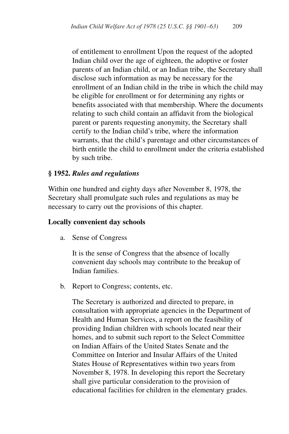of entitlement to enrollment Upon the request of the adopted Indian child over the age of eighteen, the adoptive or foster parents of an Indian child, or an Indian tribe, the Secretary shall disclose such information as may be necessary for the enrollment of an Indian child in the tribe in which the child may be eligible for enrollment or for determining any rights or benefits associated with that membership. Where the documents relating to such child contain an affidavit from the biological parent or parents requesting anonymity, the Secretary shall certify to the Indian child's tribe, where the information warrants, that the child's parentage and other circumstances of birth entitle the child to enrollment under the criteria established by such tribe.

#### **§ 1952.** *Rules and regulations*

Within one hundred and eighty days after November 8, 1978, the Secretary shall promulgate such rules and regulations as may be necessary to carry out the provisions of this chapter.

#### **Locally convenient day schools**

a. Sense of Congress

It is the sense of Congress that the absence of locally convenient day schools may contribute to the breakup of Indian families.

b. Report to Congress; contents, etc.

The Secretary is authorized and directed to prepare, in consultation with appropriate agencies in the Department of Health and Human Services, a report on the feasibility of providing Indian children with schools located near their homes, and to submit such report to the Select Committee on Indian Affairs of the United States Senate and the Committee on Interior and Insular Affairs of the United States House of Representatives within two years from November 8, 1978. In developing this report the Secretary shall give particular consideration to the provision of educational facilities for children in the elementary grades.